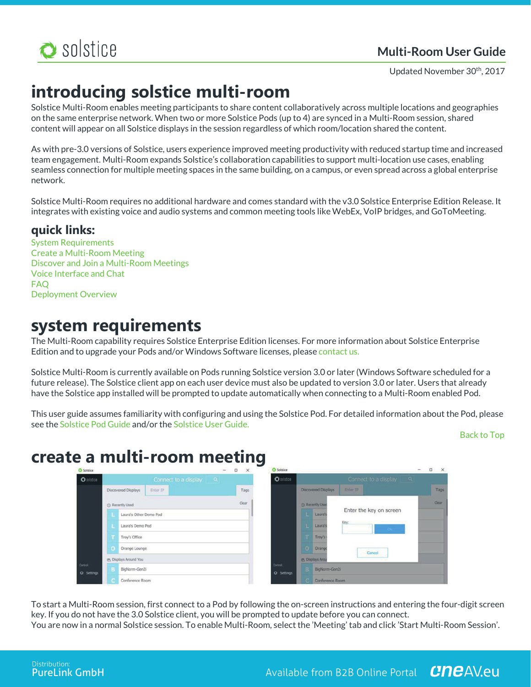

# **Multi-Room User Guide**

Updated November 30th, 2017

# **introducing solstice multi-room**

Solstice Multi-Room enables meeting participants to share content collaboratively across multiple locations and geographies on the same enterprise network. When two or more Solstice Pods (up to 4) are synced in a Multi-Room session, shared content will appear on all Solstice displays in the session regardless of which room/location shared the content.

As with pre-3.0 versions of Solstice, users experience improved meeting productivity with reduced startup time and increased team engagement. Multi-Room expands Solstice's collaboration capabilities to support multi-location use cases, enabling seamless connection for multiple meeting spaces in the same building, on a campus, or even spread across a global enterprise network.

Solstice Multi-Room requires no additional hardware and comes standard with the v3.0 Solstice Enterprise Edition Release. It integrates with existing voice and audio systems and common meeting tools like WebEx, VoIP bridges, and GoToMeeting.

# **quick links:**

System Requirements Create a Multi-Room Meeting Discover and Join a Multi-Room Meetings Voice Interface and Chat FAQ Deployment Overview

# **system requirements**

The Multi-Room capability requires Solstice Enterprise Edition licenses. For more information about Solstice Enterprise Edition and to upgrade your Pods and/or Windows Software licenses, please contact us.

Solstice Multi-Room is currently available on Pods running Solstice version 3.0 or later (Windows Software scheduled for a future release). The Solstice client app on each user device must also be updated to version 3.0 or later. Users that already have the Solstice app installed will be prompted to update automatically when connecting to a Multi-Room enabled Pod.

This user guide assumes familiarity with configuring and using the Solstice Pod. For detailed information about the Pod, please see the Solstice Pod Guide and/or the Solstice User Guide.

## Back to Top

# **create a multi-room meeting**



To start a Multi-Room session, first connect to a Pod by following the on-screen instructions and entering the four-digit screen key. If you do not have the 3.0 Solstice client, you will be prompted to update before you can connect. You are now in a normal Solstice session. To enable Multi-Room, select the 'Meeting' tab and click 'Start Multi-Room Session'.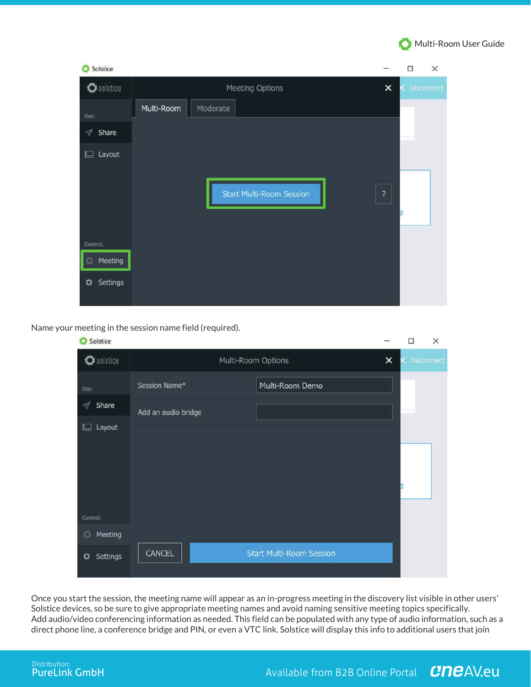

| Solstice                     |                                 |          | □                                         | X                 |
|------------------------------|---------------------------------|----------|-------------------------------------------|-------------------|
| Solstice                     | Meeting Options                 | $\times$ |                                           | <b>Disconnect</b> |
| Use:                         | Multi-Room<br>Moderate          |          |                                           |                   |
| $\mathcal{A}% _{0}$<br>Share |                                 |          | $\overline{\alpha}$ , $\overline{\alpha}$ |                   |
| $\square$ Layout             |                                 |          |                                           |                   |
|                              |                                 |          |                                           |                   |
|                              | <b>Start Multi-Room Session</b> | ?        |                                           |                   |
|                              |                                 |          |                                           |                   |
| Control:                     |                                 |          |                                           |                   |
| Meeting<br>$\circledcirc$    |                                 |          |                                           |                   |
| Settings<br>✿                |                                 |          |                                           |                   |
|                              |                                 |          |                                           |                   |

Name your meeting in the session name field (required).

| Solstice                     |                     |                                 | $\Box$ | $\times$     |
|------------------------------|---------------------|---------------------------------|--------|--------------|
| Solstice                     |                     | Multi-Room Options              | ×      | K Disconnect |
| Use:                         | Session Name*       | Multi-Room Demo                 |        |              |
| Share<br>∢                   | Add an audio bridge |                                 | ŦТ     |              |
| $\square$ Layout<br>Control: |                     |                                 |        |              |
| Meeting<br>$\circledcirc$    |                     |                                 |        |              |
| <b>Settings</b><br>✿         | <b>CANCEL</b>       | <b>Start Multi-Room Session</b> |        |              |

Once you start the session, the meeting name will appear as an in-progress meeting in the discovery list visible in other users' Solstice devices, so be sure to give appropriate meeting names and avoid naming sensitive meeting topics specifically. Add audio/video conferencing information as needed. This field can be populated with any type of audio information, such as a direct phone line, a conference bridge and PIN, or even a VTC link. Solstice will display this info to additional users that join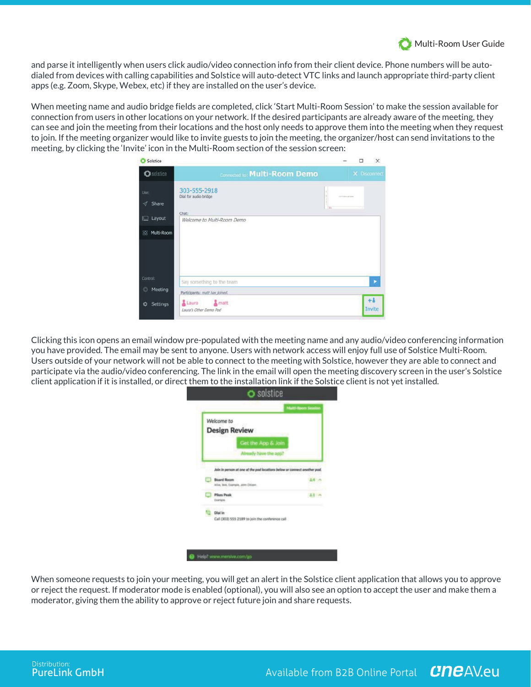

and parse it intelligently when users click audio/video connection info from their client device. Phone numbers will be autodialed from devices with calling capabilities and Solstice will auto-detect VTC links and launch appropriate third-party client apps (e.g. Zoom, Skype, Webex, etc) if they are installed on the user's device.

When meeting name and audio bridge fields are completed, click 'Start Multi-Room Session' to make the session available for connection from users in other locations on your network. If the desired participants are already aware of the meeting, they can see and join the meeting from their locations and the host only needs to approve them into the meeting when they request to join. If the meeting organizer would like to invite guests to join the meeting, the organizer/host can send invitations to the meeting, by clicking the 'Invite' icon in the Multi-Room section of the session screen:

| Solstice             |                                                |     | $\Box$       | ×              |
|----------------------|------------------------------------------------|-----|--------------|----------------|
| Solstice             | <b>Connected to: Multi-Room Demo</b>           |     | X Disconnect |                |
| Use:<br>۰<br>Share   | 303-555-2918<br>Dial for audio bridge<br>Chat: | To. |              |                |
| ⊫<br>Layout          | Welcome to Multi-Room Demo                     |     |              |                |
| 88<br>Multi-Room     |                                                |     |              |                |
| Control:             | Say something to the team                      |     |              | в              |
| Meeting<br>O         | Participants: matt has joined.                 |     |              |                |
| <b>Settings</b><br>٠ | Laura<br>matt<br>Laura's Other Demo Pod        |     |              | $+1$<br>Invite |

Clicking this icon opens an email window pre-populated with the meeting name and any audio/video conferencing information you have provided. The email may be sent to anyone. Users with network access will enjoy full use of Solstice Multi-Room. Users outside of your network will not be able to connect to the meeting with Solstice, however they are able to connect and participate via the audio/video conferencing. The link in the email will open the meeting discovery screen in the user's Solstice client application if it is installed, or direct them to the installation link if the Solstice client is not yet installed.

| Welcome to<br><b>Design Review</b>                                                                                     |     |
|------------------------------------------------------------------------------------------------------------------------|-----|
| Get the App & Join<br>Already have the app?<br>Join in person at one of the pad locations below or connect another pod |     |
| <b>Board Room</b><br>Alsa, 900, Esprais, John Oldern,                                                                  |     |
| <b>Pilons Peak</b><br>Dearname.                                                                                        | 2.1 |
| Dial in<br>Call (303) 555 2189 to join the conference call                                                             |     |

When someone requests to join your meeting, you will get an alert in the Solstice client application that allows you to approve or reject the request. If moderator mode is enabled (optional), you will also see an option to accept the user and make them a moderator, giving them the ability to approve or reject future join and share requests.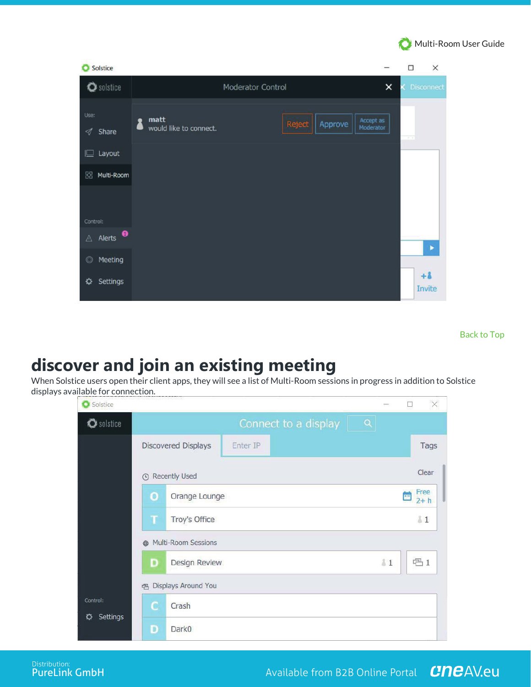

| Solstice<br>О                    |                                                     |                        | $\Box$            | $\times$ |
|----------------------------------|-----------------------------------------------------|------------------------|-------------------|----------|
| Solstice                         | Moderator Control                                   | $\times$               | <b>Disconnect</b> |          |
| Use:<br>$\triangleleft$<br>Share | matt<br>Reject<br>Approve<br>would like to connect. | Accept as<br>Moderator | $\overline{a}$    |          |
| $\square$ Layout                 |                                                     |                        |                   |          |
| BB Multi-Room                    |                                                     |                        |                   |          |
| Control:                         |                                                     |                        |                   |          |
| $\triangle$ Alerts $\bullet$     |                                                     |                        |                   | ×        |
| Meeting<br>$\circledcirc$        |                                                     |                        |                   |          |
| <b>Settings</b><br>≎             |                                                     |                        | $+1$<br>Invite    |          |

Back to Top

# **discover and join an existing meeting**

When Solstice users open their client apps, they will see a list of Multi-Room sessions in progress in addition to Solstice displays available for connection.

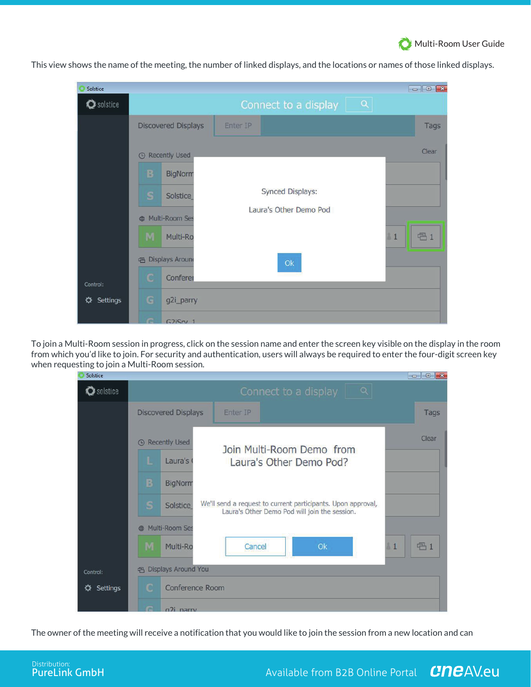

Solstice Connect to a display O solstice  $\mathbf Q$ Enter IP **Discovered Displays** Tags Clear **4** Recently Used **BigNorm Synced Displays: Solstice** Laura's Other Demo Pod Multi-Room Se Multi-Ro **已1**  $\mathbf{1}$ **色 Displays Around**  $O<sub>k</sub>$ Conferer Control: ☆ Settings g2i\_parry  $G2iSrv$  1

This view shows the name of the meeting, the number of linked displays, and the locations or names of those linked displays.

To join a Multi-Room session in progress, click on the session name and enter the screen key visible on the display in the room from which you'd like to join. For security and authentication, users will always be required to enter the four-digit screen key when requesting to join a Multi-Room session.

| Solstice           | $\begin{array}{c c c c c c} \hline \multicolumn{3}{c }{\mathbf{C}} & \multicolumn{3}{c }{\mathbf{C}} & \multicolumn{3}{c }{\mathbf{R}} \end{array}$          |
|--------------------|--------------------------------------------------------------------------------------------------------------------------------------------------------------|
| $\bullet$ solstice | Q<br>Connect to a display                                                                                                                                    |
|                    | <b>Discovered Displays</b><br>Enter IP<br>Tags                                                                                                               |
|                    | Clear<br><b>Recently Used</b><br>$\odot$<br>Join Multi-Room Demo from<br>Laura's<br>Laura's Other Demo Pod?<br>ь<br>В<br><b>BigNorm</b>                      |
|                    | We'll send a request to current participants. Upon approval,<br>s<br>Solstice<br>Laura's Other Demo Pod will join the session.<br>Multi-Room Ses<br><b>d</b> |
|                    | <b>名1</b><br>M<br>Cancel<br>Ok<br>$\frac{1}{2}$<br>Multi-Ro                                                                                                  |
| Control:           | Displays Around You<br>凸                                                                                                                                     |
| Settings<br>∝      | Conference Room<br>с<br>œ<br>$n$ ) narry                                                                                                                     |

The owner of the meeting will receive a notification that you would like to join the session from a new location and can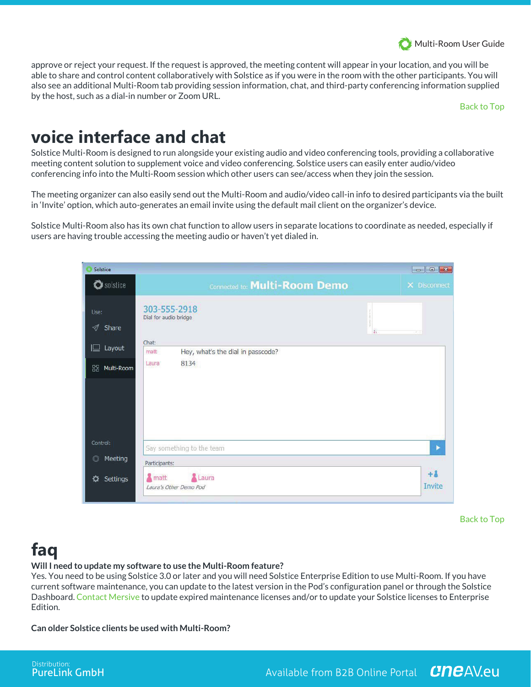

approve or reject your request. If the request is approved, the meeting content will appear in your location, and you will be able to share and control content collaboratively with Solstice as if you were in the room with the other participants. You will also see an additional Multi-Room tab providing session information, chat, and third-party conferencing information supplied by the host, such as a dial-in number or Zoom URL.

Back to Top

# **voice interface and chat**

Solstice Multi-Room is designed to run alongside your existing audio and video conferencing tools, providing a collaborative meeting content solution to supplement voice and video conferencing. Solstice users can easily enter audio/video conferencing info into the Multi-Room session which other users can see/access when they join the session.

The meeting organizer can also easily send out the Multi-Room and audio/video call-in info to desired participants via the built in 'Invite' option, which auto-generates an email invite using the default mail client on the organizer's device.

Solstice Multi-Room also has its own chat function to allow users in separate locations to coordinate as needed, especially if users are having trouble accessing the meeting audio or haven't yet dialed in.

| Solstice             |                                                    | $\begin{array}{c c c c c} \hline \multicolumn{3}{c }{\mathbf{C}} & \multicolumn{3}{c }{\mathbf{C}} & \multicolumn{3}{c }{\mathbf{X}} \\\hline \multicolumn{3}{c }{\mathbf{C}} & \multicolumn{3}{c }{\mathbf{C}} & \multicolumn{3}{c }{\mathbf{X}} \\\hline \multicolumn{3}{c }{\mathbf{C}} & \multicolumn{3}{c }{\mathbf{C}} & \multicolumn{3}{c }{\mathbf{X}} \\\hline \multicolumn{3}{c }{\mathbf{C}} & \multicolumn{3}{c }{\mathbf{C}} & \multicolumn{3$ |
|----------------------|----------------------------------------------------|-------------------------------------------------------------------------------------------------------------------------------------------------------------------------------------------------------------------------------------------------------------------------------------------------------------------------------------------------------------------------------------------------------------------------------------------------------------|
| O solstice           | <b>Connected to: Multi-Room Demo</b>               | X Disconnect                                                                                                                                                                                                                                                                                                                                                                                                                                                |
| Use:<br>Share<br>⊲   | 303-555-2918<br>Dial for audio bridge              | $\overline{11}$<br>$-4 - 1$                                                                                                                                                                                                                                                                                                                                                                                                                                 |
| Layout<br>╚          | Chat:<br>Hey, what's the dial in passcode?<br>matt |                                                                                                                                                                                                                                                                                                                                                                                                                                                             |
| 器<br>Multi-Room      | 8134<br>Laura                                      |                                                                                                                                                                                                                                                                                                                                                                                                                                                             |
| Control:             | Say something to the team                          | ٠                                                                                                                                                                                                                                                                                                                                                                                                                                                           |
| Meeting<br>O         | Participants:                                      |                                                                                                                                                                                                                                                                                                                                                                                                                                                             |
| <b>Settings</b><br>∝ | matt<br>Laura<br>Laura's Other Demo Pod            | $+1$<br><b>Invite</b>                                                                                                                                                                                                                                                                                                                                                                                                                                       |

Back to Top

# **faq**

# **Will I need to update my software to use the Multi-Room feature?**

Yes. You need to be using Solstice 3.0 or later and you will need Solstice Enterprise Edition to use Multi-Room. If you have current software maintenance, you can update to the latest version in the Pod's configuration panel or through the Solstice Dashboard. Contact Mersive to update expired maintenance licenses and/or to update your Solstice licenses to Enterprise Edition.

**Can older Solstice clients be used with Multi-Room?**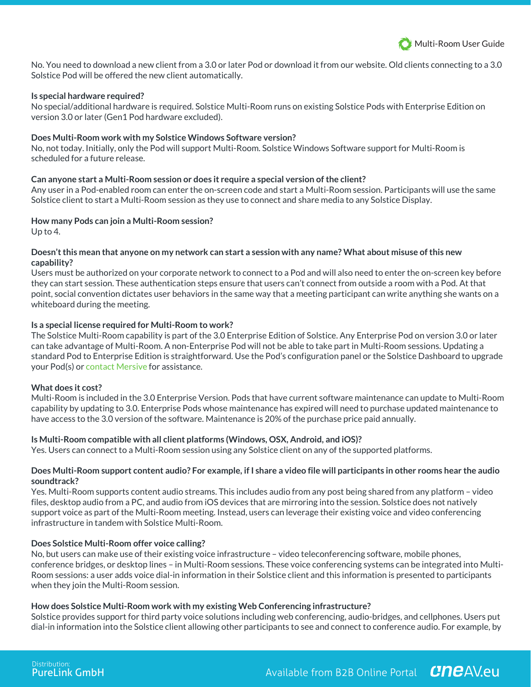

No. You need to download a new client from a 3.0 or later Pod or download it from our website. Old clients connecting to a 3.0 Solstice Pod will be offered the new client automatically.

#### **Is special hardware required?**

No special/additional hardware is required. Solstice Multi-Room runs on existing Solstice Pods with Enterprise Edition on version 3.0 or later (Gen1 Pod hardware excluded).

#### **Does Multi-Room work with my Solstice Windows Software version?**

No, not today. Initially, only the Pod will support Multi-Room. Solstice Windows Software support for Multi-Room is scheduled for a future release.

#### **Can anyone start a Multi-Room session or does it require a special version of the client?**

Any user in a Pod-enabled room can enter the on-screen code and start a Multi-Room session. Participants will use the same Solstice client to start a Multi-Room session as they use to connect and share media to any Solstice Display.

#### **How many Pods can join a Multi-Room session?**

Up to 4.

### **Doesn't this mean that anyone on my network can start a session with any name? What about misuse of this new capability?**

Users must be authorized on your corporate network to connect to a Pod and will also need to enter the on-screen key before they can start session. These authentication steps ensure that users can't connect from outside a room with a Pod. At that point, social convention dictates user behaviors in the same way that a meeting participant can write anything she wants on a whiteboard during the meeting.

#### **Is a special license required for Multi-Room to work?**

The Solstice Multi-Room capability is part of the 3.0 Enterprise Edition of Solstice. Any Enterprise Pod on version 3.0 or later can take advantage of Multi-Room. A non-Enterprise Pod will not be able to take part in Multi-Room sessions. Updating a standard Pod to Enterprise Edition is straightforward. Use the Pod's configuration panel or the Solstice Dashboard to upgrade your Pod(s) or contact Mersive for assistance.

## **What does it cost?**

Multi-Room is included in the 3.0 Enterprise Version. Pods that have current software maintenance can update to Multi-Room capability by updating to 3.0. Enterprise Pods whose maintenance has expired will need to purchase updated maintenance to have access to the 3.0 version of the software. Maintenance is 20% of the purchase price paid annually.

## **Is Multi-Room compatible with all client platforms (Windows, OSX, Android, and iOS)?**

Yes. Users can connect to a Multi-Room session using any Solstice client on any of the supported platforms.

## **Does Multi-Room support content audio? For example, if I share a video file will participants in other rooms hear the audio soundtrack?**

Yes. Multi-Room supports content audio streams. This includes audio from any post being shared from any platform – video files, desktop audio from a PC, and audio from iOS devices that are mirroring into the session. Solstice does not natively support voice as part of the Multi-Room meeting. Instead, users can leverage their existing voice and video conferencing infrastructure in tandem with Solstice Multi-Room.

## **Does Solstice Multi-Room offer voice calling?**

No, but users can make use of their existing voice infrastructure – video teleconferencing software, mobile phones, conference bridges, or desktop lines – in Multi-Room sessions. These voice conferencing systems can be integrated into Multi-Room sessions: a user adds voice dial-in information in their Solstice client and this information is presented to participants when they join the Multi-Room session.

## **How does Solstice Multi-Room work with my existing Web Conferencing infrastructure?**

Solstice provides support for third party voice solutions including web conferencing, audio-bridges, and cellphones. Users put dial-in information into the Solstice client allowing other participants to see and connect to conference audio. For example, by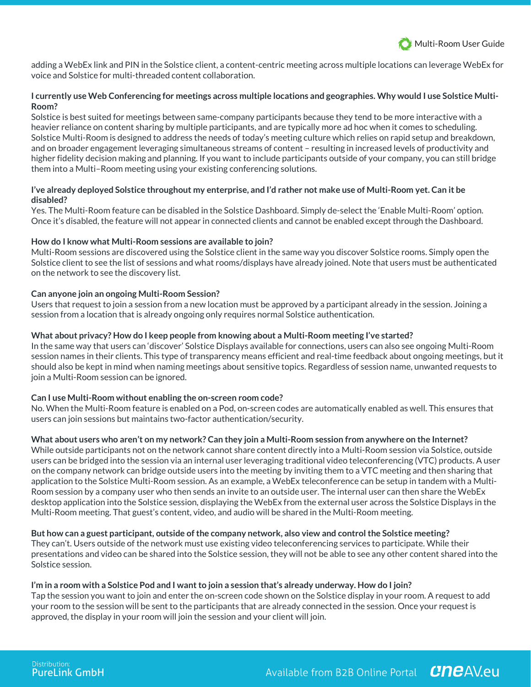

adding a WebEx link and PIN in the Solstice client, a content-centric meeting across multiple locations can leverage WebEx for voice and Solstice for multi-threaded content collaboration.

# **I currently use Web Conferencing for meetings across multiple locations and geographies. Why would I use Solstice Multi-Room?**

Solstice is best suited for meetings between same-company participants because they tend to be more interactive with a heavier reliance on content sharing by multiple participants, and are typically more ad hoc when it comes to scheduling. Solstice Multi-Room is designed to address the needs of today's meeting culture which relies on rapid setup and breakdown, and on broader engagement leveraging simultaneous streams of content – resulting in increased levels of productivity and higher fidelity decision making and planning. If you want to include participants outside of your company, you can still bridge them into a Multi–Room meeting using your existing conferencing solutions.

# **I've already deployed Solstice throughout my enterprise, and I'd rather not make use of Multi-Room yet. Can it be disabled?**

Yes. The Multi-Room feature can be disabled in the Solstice Dashboard. Simply de-select the 'Enable Multi-Room' option. Once it's disabled, the feature will not appear in connected clients and cannot be enabled except through the Dashboard.

# **How do I know what Multi-Room sessions are available to join?**

Multi-Room sessions are discovered using the Solstice client in the same way you discover Solstice rooms. Simply open the Solstice client to see the list of sessions and what rooms/displays have already joined. Note that users must be authenticated on the network to see the discovery list.

# **Can anyone join an ongoing Multi-Room Session?**

Users that request to join a session from a new location must be approved by a participant already in the session. Joining a session from a location that is already ongoing only requires normal Solstice authentication.

# **What about privacy? How do I keep people from knowing about a Multi-Room meeting I've started?**

In the same way that users can 'discover' Solstice Displays available for connections, users can also see ongoing Multi-Room session names in their clients. This type of transparency means efficient and real-time feedback about ongoing meetings, but it should also be kept in mind when naming meetings about sensitive topics. Regardless of session name, unwanted requests to join a Multi-Room session can be ignored.

## **Can I use Multi-Room without enabling the on-screen room code?**

No. When the Multi-Room feature is enabled on a Pod, on-screen codes are automatically enabled as well. This ensures that users can join sessions but maintains two-factor authentication/security.

# **What about users who aren't on my network? Can they join a Multi-Room session from anywhere on the Internet?**

While outside participants not on the network cannot share content directly into a Multi-Room session via Solstice, outside users can be bridged into the session via an internal user leveraging traditional video teleconferencing (VTC) products. A user on the company network can bridge outside users into the meeting by inviting them to a VTC meeting and then sharing that application to the Solstice Multi-Room session. As an example, a WebEx teleconference can be setup in tandem with a Multi-Room session by a company user who then sends an invite to an outside user. The internal user can then share the WebEx desktop application into the Solstice session, displaying the WebEx from the external user across the Solstice Displays in the Multi-Room meeting. That guest's content, video, and audio will be shared in the Multi-Room meeting.

## **But how can a guest participant, outside of the company network, also view and control the Solstice meeting?**

They can't. Users outside of the network must use existing video teleconferencing services to participate. While their presentations and video can be shared into the Solstice session, they will not be able to see any other content shared into the Solstice session.

## **I'm in a room with a Solstice Pod and I want to join a session that's already underway. How do I join?**

Tap the session you want to join and enter the on-screen code shown on the Solstice display in your room. A request to add your room to the session will be sent to the participants that are already connected in the session. Once your request is approved, the display in your room will join the session and your client will join.